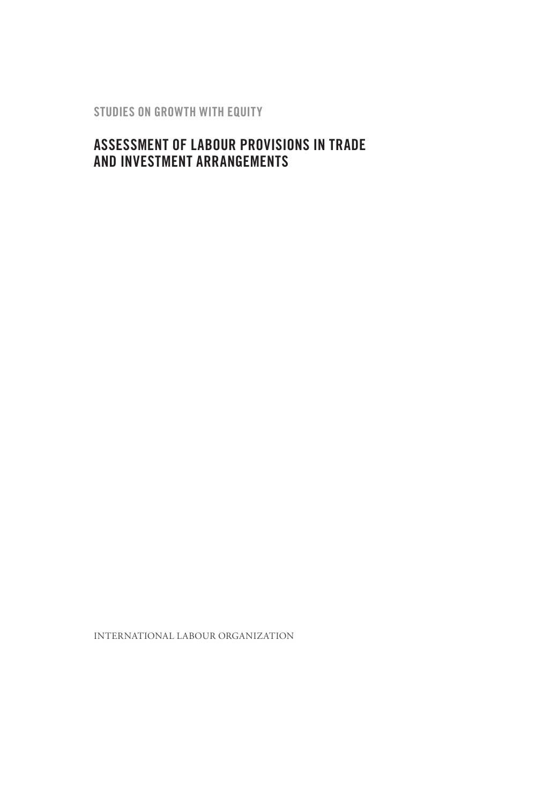**STUDIES ON GROWTH WITH EQUITY**

# **Assessment of labour provisions in trade and investment arrangements**

INTERNATIONAL LABOUR ORGANIZATION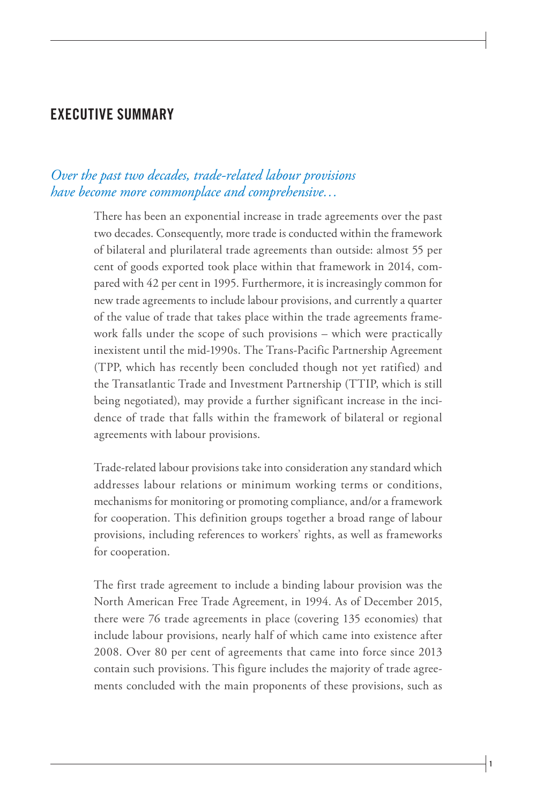# **Executive Summary**

### *Over the past two decades, trade-related labour provisions have become more commonplace and comprehensive…*

There has been an exponential increase in trade agreements over the past two decades. Consequently, more trade is conducted within the framework of bilateral and plurilateral trade agreements than outside: almost 55 per cent of goods exported took place within that framework in 2014, compared with 42 per cent in 1995. Furthermore, it is increasingly common for new trade agreements to include labour provisions, and currently a quarter of the value of trade that takes place within the trade agreements framework falls under the scope of such provisions – which were practically inexistent until the mid-1990s. The Trans-Pacific Partnership Agreement (TPP, which has recently been concluded though not yet ratified) and the Transatlantic Trade and Investment Partnership (TTIP, which is still being negotiated), may provide a further significant increase in the incidence of trade that falls within the framework of bilateral or regional agreements with labour provisions.

Trade-related labour provisions take into consideration any standard which addresses labour relations or minimum working terms or conditions, mechanisms for monitoring or promoting compliance, and/or a framework for cooperation. This definition groups together a broad range of labour provisions, including references to workers' rights, as well as frameworks for cooperation.

The first trade agreement to include a binding labour provision was the North American Free Trade Agreement, in 1994. As of December 2015, there were 76 trade agreements in place (covering 135 economies) that include labour provisions, nearly half of which came into existence after 2008. Over 80 per cent of agreements that came into force since 2013 contain such provisions. This figure includes the majority of trade agreements concluded with the main proponents of these provisions, such as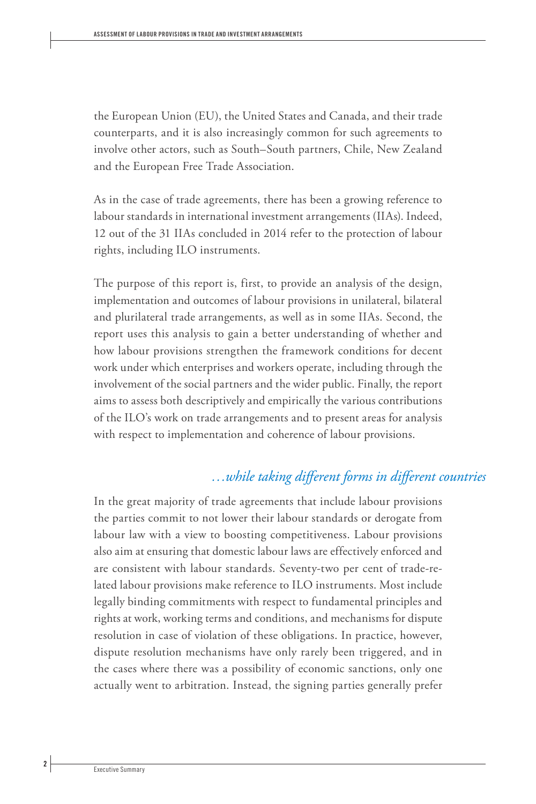the European Union (EU), the United States and Canada, and their trade counterparts, and it is also increasingly common for such agreements to involve other actors, such as South–South partners, Chile, New Zealand and the European Free Trade Association.

As in the case of trade agreements, there has been a growing reference to labour standards in international investment arrangements (IIAs). Indeed, 12 out of the 31 IIAs concluded in 2014 refer to the protection of labour rights, including ILO instruments.

The purpose of this report is, first, to provide an analysis of the design, implementation and outcomes of labour provisions in unilateral, bilateral and plurilateral trade arrangements, as well as in some IIAs. Second, the report uses this analysis to gain a better understanding of whether and how labour provisions strengthen the framework conditions for decent work under which enterprises and workers operate, including through the involvement of the social partners and the wider public. Finally, the report aims to assess both descriptively and empirically the various contributions of the ILO's work on trade arrangements and to present areas for analysis with respect to implementation and coherence of labour provisions.

#### *…while taking different forms in different countries*

In the great majority of trade agreements that include labour provisions the parties commit to not lower their labour standards or derogate from labour law with a view to boosting competitiveness. Labour provisions also aim at ensuring that domestic labour laws are effectively enforced and are consistent with labour standards. Seventy-two per cent of trade-related labour provisions make reference to ILO instruments. Most include legally binding commitments with respect to fundamental principles and rights at work, working terms and conditions, and mechanisms for dispute resolution in case of violation of these obligations. In practice, however, dispute resolution mechanisms have only rarely been triggered, and in the cases where there was a possibility of economic sanctions, only one actually went to arbitration. Instead, the signing parties generally prefer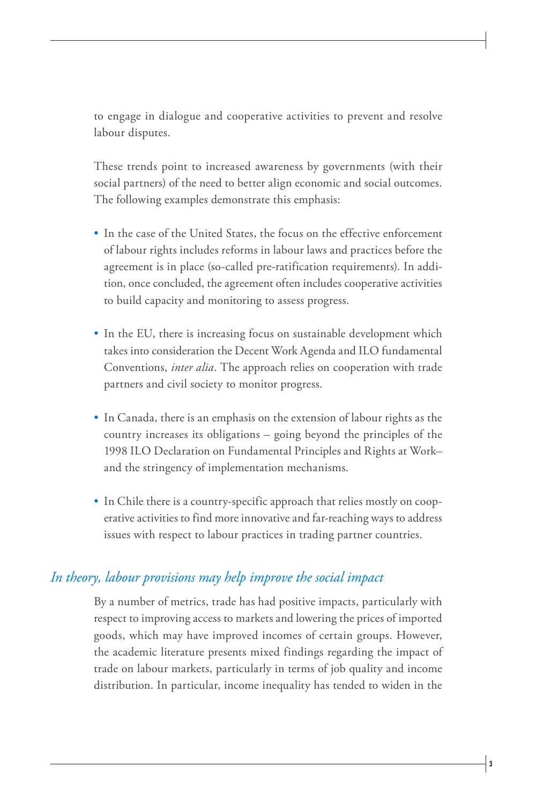to engage in dialogue and cooperative activities to prevent and resolve labour disputes.

These trends point to increased awareness by governments (with their social partners) of the need to better align economic and social outcomes. The following examples demonstrate this emphasis:

- In the case of the United States, the focus on the effective enforcement of labour rights includes reforms in labour laws and practices before the agreement is in place (so-called pre-ratification requirements). In addition, once concluded, the agreement often includes cooperative activities to build capacity and monitoring to assess progress.
- In the EU, there is increasing focus on sustainable development which takes into consideration the Decent Work Agenda and ILO fundamental Conventions, *inter alia*. The approach relies on cooperation with trade partners and civil society to monitor progress.
- In Canada, there is an emphasis on the extension of labour rights as the country increases its obligations – going beyond the principles of the 1998 ILO Declaration on Fundamental Principles and Rights at Work– and the stringency of implementation mechanisms.
- In Chile there is a country-specific approach that relies mostly on cooperative activities to find more innovative and far-reaching ways to address issues with respect to labour practices in trading partner countries.

#### *In theory, labour provisions may help improve the social impact*

By a number of metrics, trade has had positive impacts, particularly with respect to improving access to markets and lowering the prices of imported goods, which may have improved incomes of certain groups. However, the academic literature presents mixed findings regarding the impact of trade on labour markets, particularly in terms of job quality and income distribution. In particular, income inequality has tended to widen in the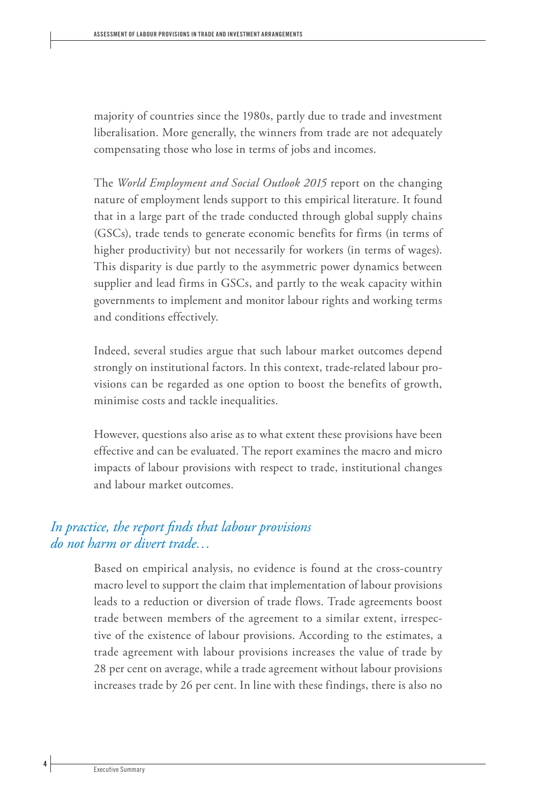majority of countries since the 1980s, partly due to trade and investment liberalisation. More generally, the winners from trade are not adequately compensating those who lose in terms of jobs and incomes.

The *World Employment and Social Outlook 2015* report on the changing nature of employment lends support to this empirical literature. It found that in a large part of the trade conducted through global supply chains (GSCs), trade tends to generate economic benefits for firms (in terms of higher productivity) but not necessarily for workers (in terms of wages). This disparity is due partly to the asymmetric power dynamics between supplier and lead firms in GSCs, and partly to the weak capacity within governments to implement and monitor labour rights and working terms and conditions effectively.

Indeed, several studies argue that such labour market outcomes depend strongly on institutional factors. In this context, trade-related labour provisions can be regarded as one option to boost the benefits of growth, minimise costs and tackle inequalities.

However, questions also arise as to what extent these provisions have been effective and can be evaluated. The report examines the macro and micro impacts of labour provisions with respect to trade, institutional changes and labour market outcomes.

### *In practice, the report finds that labour provisions do not harm or divert trade…*

Based on empirical analysis, no evidence is found at the cross-country macro level to support the claim that implementation of labour provisions leads to a reduction or diversion of trade flows. Trade agreements boost trade between members of the agreement to a similar extent, irrespective of the existence of labour provisions. According to the estimates, a trade agreement with labour provisions increases the value of trade by 28 per cent on average, while a trade agreement without labour provisions increases trade by 26 per cent. In line with these findings, there is also no

 **4**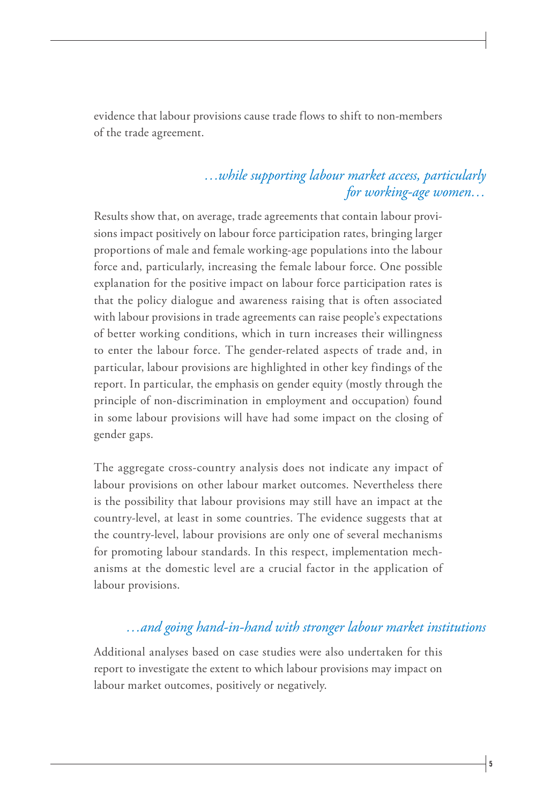evidence that labour provisions cause trade flows to shift to non-members of the trade agreement.

## *…while supporting labour market access, particularly for working-age women…*

Results show that, on average, trade agreements that contain labour provisions impact positively on labour force participation rates, bringing larger proportions of male and female working-age populations into the labour force and, particularly, increasing the female labour force. One possible explanation for the positive impact on labour force participation rates is that the policy dialogue and awareness raising that is often associated with labour provisions in trade agreements can raise people's expectations of better working conditions, which in turn increases their willingness to enter the labour force. The gender-related aspects of trade and, in particular, labour provisions are highlighted in other key findings of the report. In particular, the emphasis on gender equity (mostly through the principle of non-discrimination in employment and occupation) found in some labour provisions will have had some impact on the closing of gender gaps.

The aggregate cross-country analysis does not indicate any impact of labour provisions on other labour market outcomes. Nevertheless there is the possibility that labour provisions may still have an impact at the country-level, at least in some countries. The evidence suggests that at the country-level, labour provisions are only one of several mechanisms for promoting labour standards. In this respect, implementation mechanisms at the domestic level are a crucial factor in the application of labour provisions.

# *…and going hand-in-hand with stronger labour market institutions*

Additional analyses based on case studies were also undertaken for this report to investigate the extent to which labour provisions may impact on labour market outcomes, positively or negatively.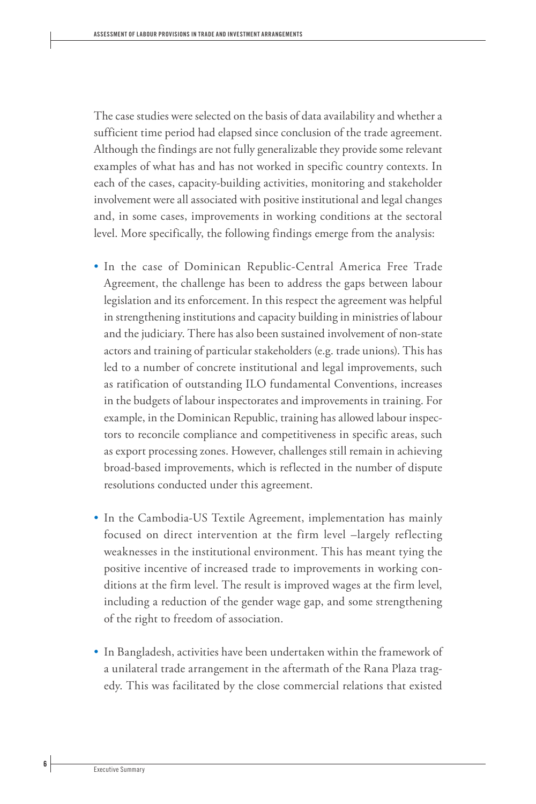The case studies were selected on the basis of data availability and whether a sufficient time period had elapsed since conclusion of the trade agreement. Although the findings are not fully generalizable they provide some relevant examples of what has and has not worked in specific country contexts. In each of the cases, capacity-building activities, monitoring and stakeholder involvement were all associated with positive institutional and legal changes and, in some cases, improvements in working conditions at the sectoral level. More specifically, the following findings emerge from the analysis:

- In the case of Dominican Republic-Central America Free Trade Agreement, the challenge has been to address the gaps between labour legislation and its enforcement. In this respect the agreement was helpful in strengthening institutions and capacity building in ministries of labour and the judiciary. There has also been sustained involvement of non-state actors and training of particular stakeholders (e.g. trade unions). This has led to a number of concrete institutional and legal improvements, such as ratification of outstanding ILO fundamental Conventions, increases in the budgets of labour inspectorates and improvements in training. For example, in the Dominican Republic, training has allowed labour inspectors to reconcile compliance and competitiveness in specific areas, such as export processing zones. However, challenges still remain in achieving broad-based improvements, which is reflected in the number of dispute resolutions conducted under this agreement.
- In the Cambodia-US Textile Agreement, implementation has mainly focused on direct intervention at the firm level –largely reflecting weaknesses in the institutional environment. This has meant tying the positive incentive of increased trade to improvements in working conditions at the firm level. The result is improved wages at the firm level, including a reduction of the gender wage gap, and some strengthening of the right to freedom of association.
- In Bangladesh, activities have been undertaken within the framework of a unilateral trade arrangement in the aftermath of the Rana Plaza tragedy. This was facilitated by the close commercial relations that existed

 **6**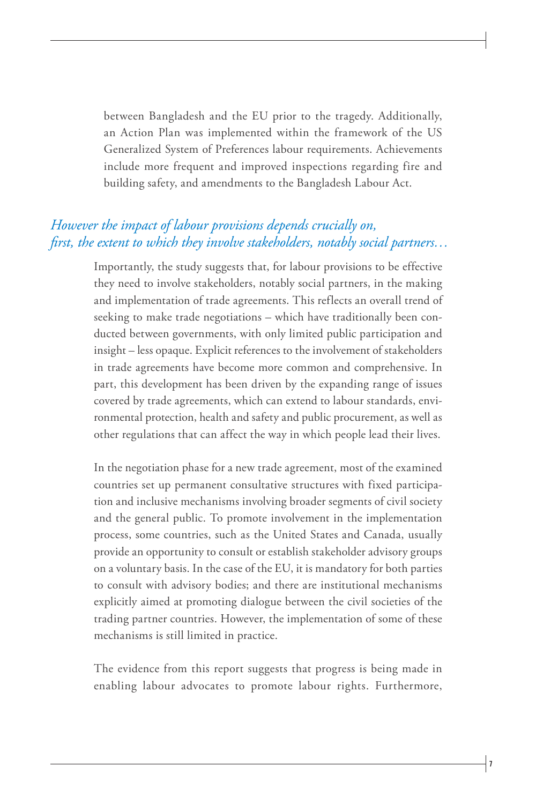between Bangladesh and the EU prior to the tragedy. Additionally, an Action Plan was implemented within the framework of the US Generalized System of Preferences labour requirements. Achievements include more frequent and improved inspections regarding fire and building safety, and amendments to the Bangladesh Labour Act.

### *However the impact of labour provisions depends crucially on, first, the extent to which they involve stakeholders, notably social partners…*

Importantly, the study suggests that, for labour provisions to be effective they need to involve stakeholders, notably social partners, in the making and implementation of trade agreements. This reflects an overall trend of seeking to make trade negotiations – which have traditionally been conducted between governments, with only limited public participation and insight – less opaque. Explicit references to the involvement of stakeholders in trade agreements have become more common and comprehensive. In part, this development has been driven by the expanding range of issues covered by trade agreements, which can extend to labour standards, environmental protection, health and safety and public procurement, as well as other regulations that can affect the way in which people lead their lives.

In the negotiation phase for a new trade agreement, most of the examined countries set up permanent consultative structures with fixed participation and inclusive mechanisms involving broader segments of civil society and the general public. To promote involvement in the implementation process, some countries, such as the United States and Canada, usually provide an opportunity to consult or establish stakeholder advisory groups on a voluntary basis. In the case of the EU, it is mandatory for both parties to consult with advisory bodies; and there are institutional mechanisms explicitly aimed at promoting dialogue between the civil societies of the trading partner countries. However, the implementation of some of these mechanisms is still limited in practice.

The evidence from this report suggests that progress is being made in enabling labour advocates to promote labour rights. Furthermore,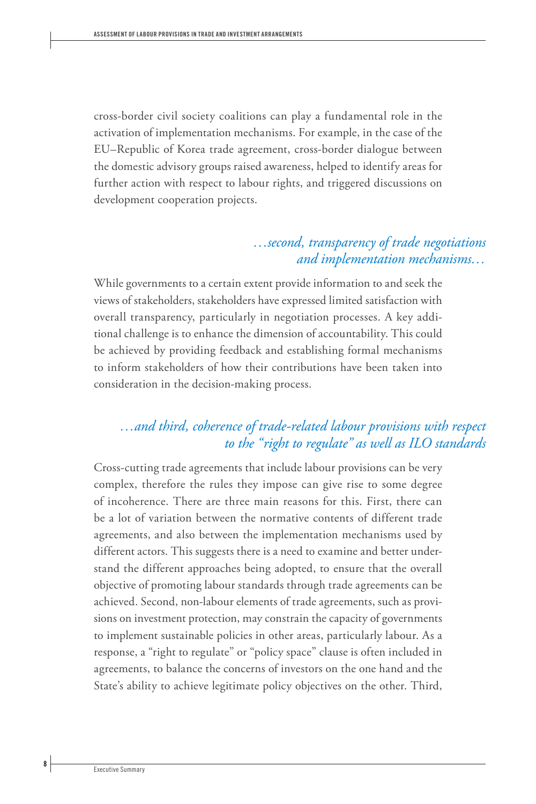cross-border civil society coalitions can play a fundamental role in the activation of implementation mechanisms. For example, in the case of the EU–Republic of Korea trade agreement, cross-border dialogue between the domestic advisory groups raised awareness, helped to identify areas for further action with respect to labour rights, and triggered discussions on development cooperation projects.

#### *…second, transparency of trade negotiations and implementation mechanisms…*

While governments to a certain extent provide information to and seek the views of stakeholders, stakeholders have expressed limited satisfaction with overall transparency, particularly in negotiation processes. A key additional challenge is to enhance the dimension of accountability. This could be achieved by providing feedback and establishing formal mechanisms to inform stakeholders of how their contributions have been taken into consideration in the decision-making process.

## *…and third, coherence of trade-related labour provisions with respect to the "right to regulate" as well as ILO standards*

Cross-cutting trade agreements that include labour provisions can be very complex, therefore the rules they impose can give rise to some degree of incoherence. There are three main reasons for this. First, there can be a lot of variation between the normative contents of different trade agreements, and also between the implementation mechanisms used by different actors. This suggests there is a need to examine and better understand the different approaches being adopted, to ensure that the overall objective of promoting labour standards through trade agreements can be achieved. Second, non-labour elements of trade agreements, such as provisions on investment protection, may constrain the capacity of governments to implement sustainable policies in other areas, particularly labour. As a response, a "right to regulate" or "policy space" clause is often included in agreements, to balance the concerns of investors on the one hand and the State's ability to achieve legitimate policy objectives on the other. Third,